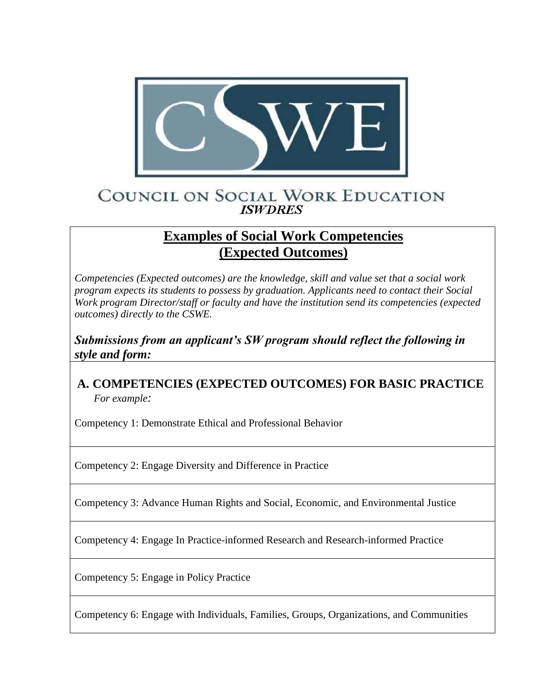

## COUNCIL ON SOCIAL WORK EDUCATION **ISWDRES**

## **Examples of Social Work Competencies (Expected Outcomes)**

*Competencies (Expected outcomes) are the knowledge, skill and value set that a social work program expects its students to possess by graduation. Applicants need to contact their Social Work program Director/staff or faculty and have the institution send its competencies (expected outcomes) directly to the CSWE.* 

*Submissions from an applicant's SW program should reflect the following in style and form:* 

## **A. COMPETENCIES (EXPECTED OUTCOMES) FOR BASIC PRACTICE**  *For example:*

Competency 1: Demonstrate Ethical and Professional Behavior

Competency 2: Engage Diversity and Difference in Practice

Competency 3: Advance Human Rights and Social, Economic, and Environmental Justice

Competency 4: Engage In Practice-informed Research and Research-informed Practice

Competency 5: Engage in Policy Practice

Competency 6: Engage with Individuals, Families, Groups, Organizations, and Communities